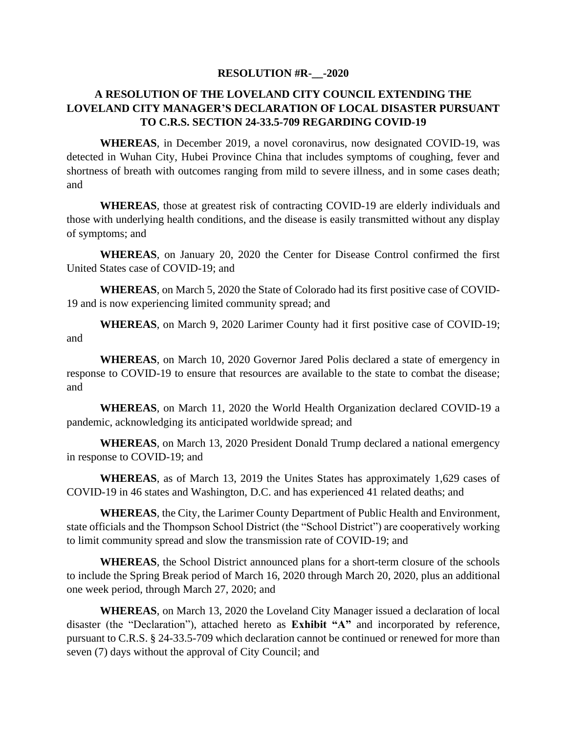## **RESOLUTION #R-\_\_-2020**

## **A RESOLUTION OF THE LOVELAND CITY COUNCIL EXTENDING THE LOVELAND CITY MANAGER'S DECLARATION OF LOCAL DISASTER PURSUANT TO C.R.S. SECTION 24-33.5-709 REGARDING COVID-19**

**WHEREAS**, in December 2019, a novel coronavirus, now designated COVID-19, was detected in Wuhan City, Hubei Province China that includes symptoms of coughing, fever and shortness of breath with outcomes ranging from mild to severe illness, and in some cases death; and

**WHEREAS**, those at greatest risk of contracting COVID-19 are elderly individuals and those with underlying health conditions, and the disease is easily transmitted without any display of symptoms; and

**WHEREAS**, on January 20, 2020 the Center for Disease Control confirmed the first United States case of COVID-19; and

**WHEREAS**, on March 5, 2020 the State of Colorado had its first positive case of COVID-19 and is now experiencing limited community spread; and

**WHEREAS**, on March 9, 2020 Larimer County had it first positive case of COVID-19; and

**WHEREAS**, on March 10, 2020 Governor Jared Polis declared a state of emergency in response to COVID-19 to ensure that resources are available to the state to combat the disease; and

**WHEREAS**, on March 11, 2020 the World Health Organization declared COVID-19 a pandemic, acknowledging its anticipated worldwide spread; and

**WHEREAS**, on March 13, 2020 President Donald Trump declared a national emergency in response to COVID-19; and

**WHEREAS**, as of March 13, 2019 the Unites States has approximately 1,629 cases of COVID-19 in 46 states and Washington, D.C. and has experienced 41 related deaths; and

**WHEREAS**, the City, the Larimer County Department of Public Health and Environment, state officials and the Thompson School District (the "School District") are cooperatively working to limit community spread and slow the transmission rate of COVID-19; and

**WHEREAS**, the School District announced plans for a short-term closure of the schools to include the Spring Break period of March 16, 2020 through March 20, 2020, plus an additional one week period, through March 27, 2020; and

**WHEREAS**, on March 13, 2020 the Loveland City Manager issued a declaration of local disaster (the "Declaration"), attached hereto as **Exhibit "A"** and incorporated by reference, pursuant to C.R.S. § 24-33.5-709 which declaration cannot be continued or renewed for more than seven (7) days without the approval of City Council; and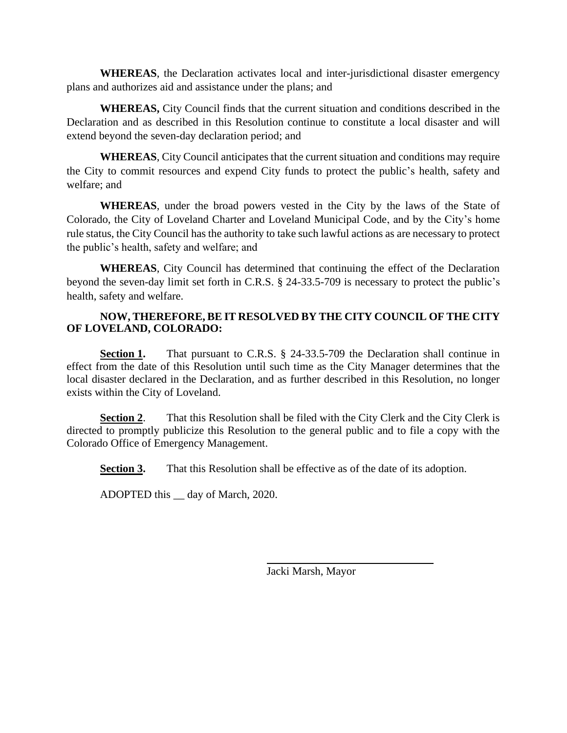**WHEREAS**, the Declaration activates local and inter-jurisdictional disaster emergency plans and authorizes aid and assistance under the plans; and

**WHEREAS,** City Council finds that the current situation and conditions described in the Declaration and as described in this Resolution continue to constitute a local disaster and will extend beyond the seven-day declaration period; and

**WHEREAS**, City Council anticipates that the current situation and conditions may require the City to commit resources and expend City funds to protect the public's health, safety and welfare; and

**WHEREAS**, under the broad powers vested in the City by the laws of the State of Colorado, the City of Loveland Charter and Loveland Municipal Code, and by the City's home rule status, the City Council has the authority to take such lawful actions as are necessary to protect the public's health, safety and welfare; and

**WHEREAS**, City Council has determined that continuing the effect of the Declaration beyond the seven-day limit set forth in C.R.S. § 24-33.5-709 is necessary to protect the public's health, safety and welfare.

## **NOW, THEREFORE, BE IT RESOLVED BY THE CITY COUNCIL OF THE CITY OF LOVELAND, COLORADO:**

**Section 1.** That pursuant to C.R.S. § 24-33.5-709 the Declaration shall continue in effect from the date of this Resolution until such time as the City Manager determines that the local disaster declared in the Declaration, and as further described in this Resolution, no longer exists within the City of Loveland.

**Section 2**. That this Resolution shall be filed with the City Clerk and the City Clerk is directed to promptly publicize this Resolution to the general public and to file a copy with the Colorado Office of Emergency Management.

**Section 3.** That this Resolution shall be effective as of the date of its adoption.

ADOPTED this \_\_ day of March, 2020.

Jacki Marsh, Mayor